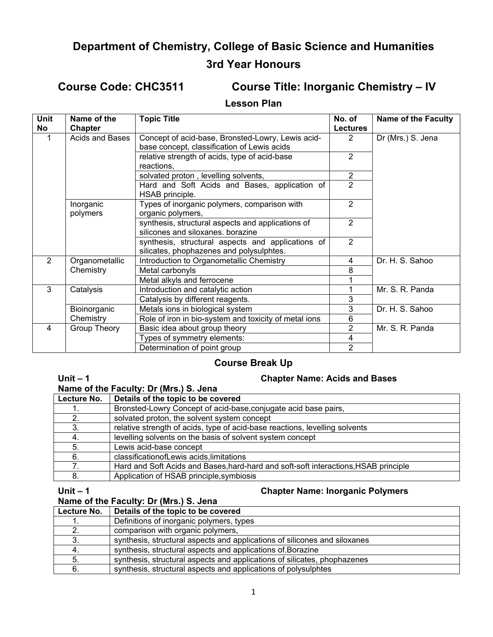# **Department of Chemistry, College of Basic Science and Humanities 3rd Year Honours**

**Course Code: CHC3511 Course Title: Inorganic Chemistry – IV** 

#### **Lesson Plan**

| <b>Unit</b>    | Name of the         | <b>Topic Title</b>                                    | No. of          | <b>Name of the Faculty</b> |
|----------------|---------------------|-------------------------------------------------------|-----------------|----------------------------|
| No             | <b>Chapter</b>      |                                                       | <b>Lectures</b> |                            |
|                | Acids and Bases     | Concept of acid-base, Bronsted-Lowry, Lewis acid-     | $\mathcal{P}$   | Dr (Mrs.) S. Jena          |
|                |                     | base concept, classification of Lewis acids           |                 |                            |
|                |                     | relative strength of acids, type of acid-base         | 2               |                            |
|                |                     | reactions,                                            |                 |                            |
|                |                     | solvated proton, levelling solvents,                  | $\overline{2}$  |                            |
|                |                     | Hard and Soft Acids and Bases, application of         | $\overline{2}$  |                            |
|                |                     | HSAB principle.                                       |                 |                            |
|                | Inorganic           | Types of inorganic polymers, comparison with          | $\overline{2}$  |                            |
|                | polymers            | organic polymers,                                     |                 |                            |
|                |                     | synthesis, structural aspects and applications of     | $\overline{2}$  |                            |
|                |                     | silicones and siloxanes, borazine                     |                 |                            |
|                |                     | synthesis, structural aspects and applications of     | $\overline{2}$  |                            |
|                |                     | silicates, phophazenes and polysulphtes.              |                 |                            |
| $\overline{2}$ | Organometallic      | Introduction to Organometallic Chemistry              | 4               | Dr. H. S. Sahoo            |
|                | Chemistry           | Metal carbonyls                                       | 8               |                            |
|                |                     | Metal alkyls and ferrocene                            |                 |                            |
| 3              | Catalysis           | Introduction and catalytic action                     |                 | Mr. S. R. Panda            |
|                |                     | Catalysis by different reagents.                      | 3               |                            |
|                | Bioinorganic        | Metals ions in biological system                      | 3               | Dr. H. S. Sahoo            |
|                | Chemistry           | Role of iron in bio-system and toxicity of metal ions | 6               |                            |
| 4              | <b>Group Theory</b> | Basic idea about group theory                         | 2               | Mr. S. R. Panda            |
|                |                     | Types of symmetry elements:                           | 4               |                            |
|                |                     | Determination of point group                          | $\overline{2}$  |                            |

# **Course Break Up**

#### **Unit – 1 Chapter Name: Acids and Bases**

| Name of the Faculty: Dr (Mrs.) S. Jena |                                                                                     |  |
|----------------------------------------|-------------------------------------------------------------------------------------|--|
| Lecture No.                            | Details of the topic to be covered                                                  |  |
|                                        | Bronsted-Lowry Concept of acid-base, conjugate acid base pairs,                     |  |
| 2.                                     | solvated proton, the solvent system concept                                         |  |
|                                        | relative strength of acids, type of acid-base reactions, levelling solvents         |  |
|                                        | levelling solvents on the basis of solvent system concept                           |  |
| 5.                                     | Lewis acid-base concept                                                             |  |
| 6.                                     | classificationofLewis acids, limitations                                            |  |
|                                        | Hard and Soft Acids and Bases, hard-hard and soft-soft interactions, HSAB principle |  |
| 8.                                     | Application of HSAB principle, symbiosis                                            |  |

### **Name of the Faculty: Dr (Mrs.) S. Jena**

### **Unit – 1 Chapter Name: Inorganic Polymers**

| <b>Natile Of the Faculty. Dr (MIS.) 3. Jelia</b> |                                                                           |  |
|--------------------------------------------------|---------------------------------------------------------------------------|--|
| Lecture No.                                      | Details of the topic to be covered                                        |  |
|                                                  | Definitions of inorganic polymers, types                                  |  |
|                                                  | comparison with organic polymers,                                         |  |
|                                                  | synthesis, structural aspects and applications of silicones and siloxanes |  |
|                                                  | synthesis, structural aspects and applications of Borazine                |  |
| 5.                                               | synthesis, structural aspects and applications of silicates, phophazenes  |  |
| 6.                                               | synthesis, structural aspects and applications of polysulphtes            |  |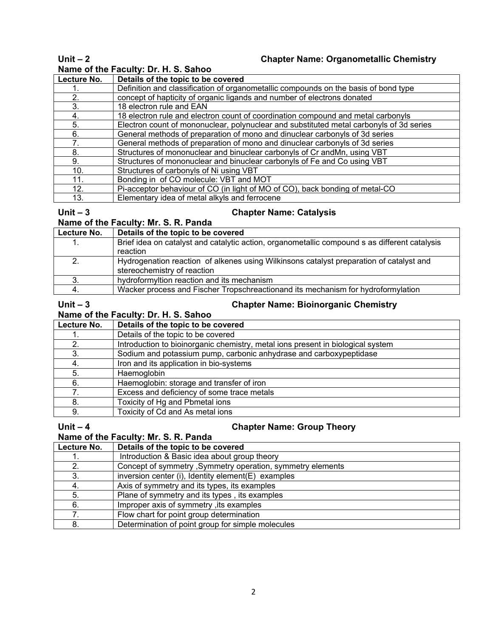## **Unit – 2 Chapter Name: Organometallic Chemistry**

# **Name of the Faculty: Dr. H. S. Sahoo**

| Lecture No. | Details of the topic to be covered                                                      |
|-------------|-----------------------------------------------------------------------------------------|
|             | Definition and classification of organometallic compounds on the basis of bond type     |
| 2.          | concept of hapticity of organic ligands and number of electrons donated                 |
| 3.          | 18 electron rule and EAN                                                                |
| 4.          | 18 electron rule and electron count of coordination compound and metal carbonyls        |
| 5.          | Electron count of mononuclear, polynuclear and substituted metal carbonyls of 3d series |
| 6.          | General methods of preparation of mono and dinuclear carbonyls of 3d series             |
|             | General methods of preparation of mono and dinuclear carbonyls of 3d series             |
| 8.          | Structures of mononuclear and binuclear carbonyls of Cr and Mn, using VBT               |
| 9.          | Structures of mononuclear and binuclear carbonyls of Fe and Co using VBT                |
| 10.         | Structures of carbonyls of Ni using VBT                                                 |
| 11.         | Bonding in of CO molecule: VBT and MOT                                                  |
| 12.         | Pi-acceptor behaviour of CO (in light of MO of CO), back bonding of metal-CO            |
| 13.         | Elementary idea of metal alkyls and ferrocene                                           |

### **Unit – 3 Chapter Name: Catalysis**

## **Name of the Faculty: Mr. S. R. Panda**

| Lecture No. | Details of the topic to be covered                                                            |  |
|-------------|-----------------------------------------------------------------------------------------------|--|
|             | Brief idea on catalyst and catalytic action, organometallic compound s as different catalysis |  |
|             | reaction                                                                                      |  |
|             | Hydrogenation reaction of alkenes using Wilkinsons catalyst preparation of catalyst and       |  |
|             | stereochemistry of reaction                                                                   |  |
|             | hydroformyltion reaction and its mechanism                                                    |  |
|             | Wacker process and Fischer Tropschreactionand its mechanism for hydroformylation              |  |
|             |                                                                                               |  |

# **Name of the Faculty: Dr. H. S. Sahoo**

**Chapter Name: Bioinorganic Chemistry** 

| Name of the Faculty: Dr. H. S. Sanoo |                                                                                 |  |
|--------------------------------------|---------------------------------------------------------------------------------|--|
| Lecture No.                          | Details of the topic to be covered                                              |  |
|                                      | Details of the topic to be covered                                              |  |
| 2.                                   | Introduction to bioinorganic chemistry, metal ions present in biological system |  |
| 3.                                   | Sodium and potassium pump, carbonic anhydrase and carboxypeptidase              |  |
| 4.                                   | Iron and its application in bio-systems                                         |  |
| 5.                                   | Haemoglobin                                                                     |  |
| 6.                                   | Haemoglobin: storage and transfer of iron                                       |  |
|                                      | Excess and deficiency of some trace metals                                      |  |
| 8.                                   | Toxicity of Hg and Pbmetal ions                                                 |  |
| 9.                                   | Toxicity of Cd and As metal ions                                                |  |

### **Unit – 4 Chapter Name: Group Theory**

| $5.111 - 7$                          | Chapter Name. Group Theory                                 |
|--------------------------------------|------------------------------------------------------------|
| Name of the Faculty: Mr. S. R. Panda |                                                            |
| Lecture No.                          | Details of the topic to be covered                         |
|                                      | Introduction & Basic idea about group theory               |
| 2.                                   | Concept of symmetry, Symmetry operation, symmetry elements |
| 3.                                   | inversion center (i), Identity element (E) examples        |
| -4.                                  | Axis of symmetry and its types, its examples               |
| 5.                                   | Plane of symmetry and its types, its examples              |
| 6.                                   | Improper axis of symmetry, its examples                    |
|                                      | Flow chart for point group determination                   |
| 8.                                   | Determination of point group for simple molecules          |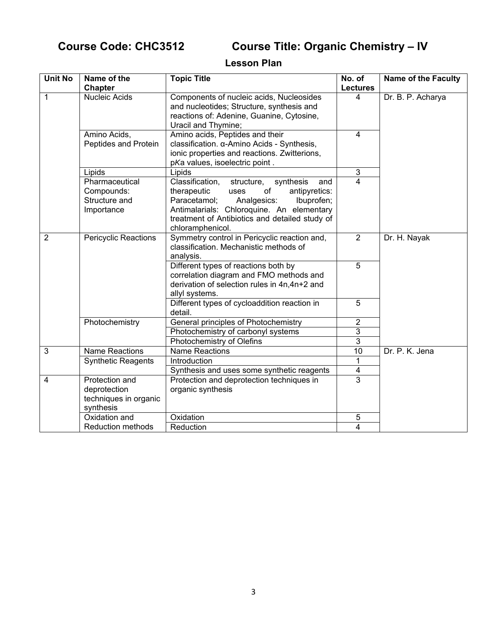# **Course Code: CHC3512 Course Title: Organic Chemistry – IV**

# **Lesson Plan**

| <b>Unit No</b> | Name of the<br>Chapter                                               | <b>Topic Title</b>                                                                                                                                                                                                                                              | No. of<br><b>Lectures</b> | <b>Name of the Faculty</b> |
|----------------|----------------------------------------------------------------------|-----------------------------------------------------------------------------------------------------------------------------------------------------------------------------------------------------------------------------------------------------------------|---------------------------|----------------------------|
| $\mathbf{1}$   | Nucleic Acids                                                        | Components of nucleic acids, Nucleosides<br>and nucleotides; Structure, synthesis and<br>reactions of: Adenine, Guanine, Cytosine,<br>Uracil and Thymine;                                                                                                       | 4                         | Dr. B. P. Acharya          |
|                | Amino Acids,<br>Peptides and Protein                                 | Amino acids, Peptides and their<br>classification. α-Amino Acids - Synthesis,<br>ionic properties and reactions. Zwitterions,<br>pKa values, isoelectric point.                                                                                                 | $\overline{4}$            |                            |
|                | Lipids                                                               | Lipids                                                                                                                                                                                                                                                          | $\sqrt{3}$                |                            |
|                | Pharmaceutical<br>Compounds:<br>Structure and<br>Importance          | Classification,<br>structure,<br>synthesis<br>and<br>of<br>therapeutic<br>antipyretics:<br>uses<br>Paracetamol;<br>Analgesics:<br>Ibuprofen;<br>Antimalarials: Chloroquine. An elementary<br>treatment of Antibiotics and detailed study of<br>chloramphenicol. | 4                         |                            |
| $\overline{2}$ | <b>Pericyclic Reactions</b>                                          | Symmetry control in Pericyclic reaction and,<br>classification. Mechanistic methods of<br>analysis.                                                                                                                                                             | $\overline{2}$            | Dr. H. Nayak               |
|                |                                                                      | Different types of reactions both by<br>correlation diagram and FMO methods and<br>derivation of selection rules in 4n,4n+2 and<br>allyl systems.                                                                                                               | 5                         |                            |
|                |                                                                      | Different types of cycloaddition reaction in<br>detail.                                                                                                                                                                                                         | 5                         |                            |
|                | Photochemistry                                                       | General principles of Photochemistry                                                                                                                                                                                                                            | $\overline{2}$            |                            |
|                |                                                                      | Photochemistry of carbonyl systems                                                                                                                                                                                                                              | $\overline{3}$            |                            |
|                |                                                                      | Photochemistry of Olefins                                                                                                                                                                                                                                       | $\overline{3}$            |                            |
| 3              | <b>Name Reactions</b>                                                | <b>Name Reactions</b>                                                                                                                                                                                                                                           | $\overline{10}$           | Dr. P. K. Jena             |
|                | <b>Synthetic Reagents</b>                                            | Introduction                                                                                                                                                                                                                                                    | 1                         |                            |
|                |                                                                      | Synthesis and uses some synthetic reagents                                                                                                                                                                                                                      | 4                         |                            |
| 4              | Protection and<br>deprotection<br>techniques in organic<br>synthesis | Protection and deprotection techniques in<br>organic synthesis                                                                                                                                                                                                  | $\overline{3}$            |                            |
|                | Oxidation and                                                        | Oxidation                                                                                                                                                                                                                                                       | 5                         |                            |
|                | <b>Reduction methods</b>                                             | Reduction                                                                                                                                                                                                                                                       | 4                         |                            |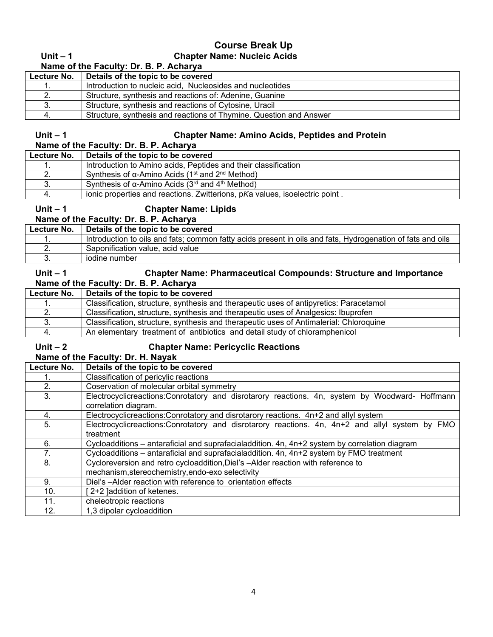# **Course Break Up Unit – 1 Chapter Name: Nucleic Acids**

| Name of the Faculty: Dr. B. P. Acharya |                                                                    |
|----------------------------------------|--------------------------------------------------------------------|
| Lecture No.                            | Details of the topic to be covered                                 |
|                                        | Introduction to nucleic acid. Nucleosides and nucleotides          |
|                                        | Structure, synthesis and reactions of: Adenine, Guanine            |
|                                        | Structure, synthesis and reactions of Cytosine, Uracil             |
|                                        | Structure, synthesis and reactions of Thymine. Question and Answer |

#### **Unit – 1 Chapter Name: Amino Acids, Peptides and Protein**

# **Name of the Faculty: Dr. B. P. Acharya**

| Lecture No. | Details of the topic to be covered                                              |
|-------------|---------------------------------------------------------------------------------|
|             | Introduction to Amino acids, Peptides and their classification                  |
| <u>.</u>    | Synthesis of α-Amino Acids (1 <sup>st</sup> and 2 <sup>nd</sup> Method)         |
| J.          | Synthesis of $\alpha$ -Amino Acids (3 <sup>rd</sup> and 4 <sup>th</sup> Method) |
|             | ionic properties and reactions. Zwitterions, pKa values, isoelectric point.     |

# **Unit – 1 Chapter Name: Lipids**

**Name of the Faculty: Dr. B. P. Acharya** 

| Lecture No. | Details of the topic to be covered                                                                         |
|-------------|------------------------------------------------------------------------------------------------------------|
|             | Introduction to oils and fats; common fatty acids present in oils and fats, Hydrogenation of fats and oils |
|             | Saponification value, acid value                                                                           |
|             | iodine number                                                                                              |

#### **Unit – 1 Chapter Name: Pharmaceutical Compounds: Structure and Importance Name of the Faculty: Dr. B. P. Acharya**

| Lecture No. | Details of the topic to be covered                                                     |
|-------------|----------------------------------------------------------------------------------------|
|             | Classification, structure, synthesis and therapeutic uses of antipyretics: Paracetamol |
|             | Classification, structure, synthesis and therapeutic uses of Analgesics: Ibuprofen     |
| ა.          | Classification, structure, synthesis and therapeutic uses of Antimalerial: Chloroquine |
|             | An elementary treatment of antibiotics and detail study of chloramphenicol             |

# **Unit – 2 Chapter Name: Pericyclic Reactions**

# **Name of the Faculty: Dr. H. Nayak**

| Lecture No.     | Details of the topic to be covered                                                             |  |
|-----------------|------------------------------------------------------------------------------------------------|--|
|                 | Classification of pericylic reactions                                                          |  |
| 2.              | Coservation of molecular orbital symmetry                                                      |  |
| 3.              | Electrocyclicreactions:Conrotatory and disrotarory reactions. 4n, system by Woodward- Hoffmann |  |
|                 | correlation diagram.                                                                           |  |
| 4.              | Electrocyclicreactions: Conrotatory and disrotarory reactions. 4n+2 and allyl system           |  |
| 5.              | Electrocyclicreactions:Conrotatory and disrotarory reactions. 4n, 4n+2 and allyl system by FMO |  |
|                 | treatment                                                                                      |  |
| 6.              | Cycloadditions – antaraficial and suprafacialaddition. 4n, 4n+2 system by correlation diagram  |  |
|                 | Cycloadditions - antaraficial and suprafacialaddition. 4n, 4n+2 system by FMO treatment        |  |
| 8.              | Cycloreversion and retro cycloaddition, Diel's -Alder reaction with reference to               |  |
|                 | mechanism, stereochemistry, endo-exo selectivity                                               |  |
| 9.              | Diel's -Alder reaction with reference to orientation effects                                   |  |
| 10 <sub>1</sub> | 2+2 ]addition of ketenes.                                                                      |  |
| 11.             | cheleotropic reactions                                                                         |  |
| 12.             | 1,3 dipolar cycloaddition                                                                      |  |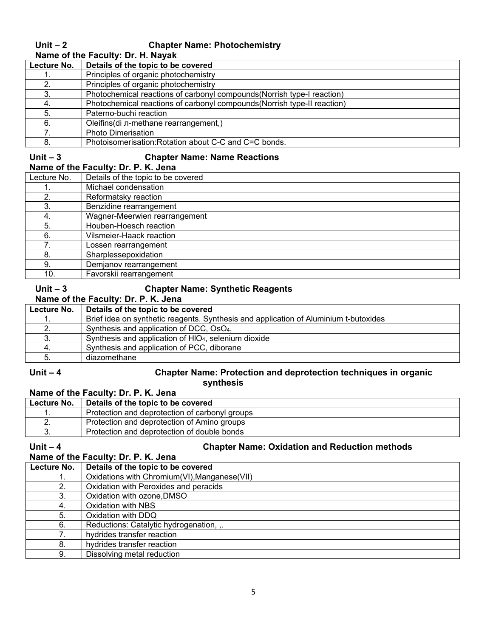#### **Unit – 2 Chapter Name: Photochemistry Name of the Faculty: Dr. H. Nayak**

| $r$ and $r$ and $r$ and $r$ and $r$ . The respect of $r$ |                                                                          |
|----------------------------------------------------------|--------------------------------------------------------------------------|
| Lecture No.                                              | Details of the topic to be covered                                       |
|                                                          | Principles of organic photochemistry                                     |
|                                                          | Principles of organic photochemistry                                     |
| 3.                                                       | Photochemical reactions of carbonyl compounds (Norrish type-I reaction)  |
|                                                          | Photochemical reactions of carbonyl compounds (Norrish type-II reaction) |
| 5.                                                       | Paterno-buchi reaction                                                   |
| 6.                                                       | Oleifins(di л-methane rearrangement,)                                    |
|                                                          | <b>Photo Dimerisation</b>                                                |
| 8.                                                       | Photoisomerisation: Rotation about C-C and C=C bonds.                    |

### **Unit – 3 Chapter Name: Name Reactions**

| Name of the Faculty: Dr. P. K. Jena |                                    |  |
|-------------------------------------|------------------------------------|--|
| Lecture No.                         | Details of the topic to be covered |  |
|                                     | Michael condensation               |  |
|                                     | Reformatsky reaction               |  |
|                                     | Donziding regramanment             |  |

|     | NUMBER 10401011               |
|-----|-------------------------------|
|     | Benzidine rearrangement       |
|     | Wagner-Meerwien rearrangement |
|     | Houben-Hoesch reaction        |
|     | Vilsmeier-Haack reaction      |
|     | Lossen rearrangement          |
|     | Sharplessepoxidation          |
|     | Demjanov rearrangement        |
| 10. | Favorskii rearrangement       |

#### **Unit – 3 Chapter Name: Synthetic Reagents**

| Name of the Faculty: Dr. P. K. Jena |                                                                                      |  |
|-------------------------------------|--------------------------------------------------------------------------------------|--|
| Lecture No.                         | Details of the topic to be covered                                                   |  |
|                                     | Brief idea on synthetic reagents. Synthesis and application of Aluminium t-butoxides |  |
|                                     | Synthesis and application of DCC, OsO <sub>4</sub> ,                                 |  |
| 3.                                  | Synthesis and application of HIO <sub>4</sub> , selenium dioxide                     |  |
|                                     | Synthesis and application of PCC, diborane                                           |  |
|                                     | diazomethane                                                                         |  |

#### **Unit – 4 Chapter Name: Protection and deprotection techniques in organic synthesis**

#### **Name of the Faculty: Dr. P. K. Jena**<br>Lecture No. | Details of the topic to be **Details of the topic to be covered** 1. Protection and deprotection of carbonyl groups 2. Protection and deprotection of Amino groups 3. Protection and deprotection of double bonds

# Unit – 4<br> **Chapter Name: Oxidation and Reduction methods**<br>
Name of the Eaculty: Dr. B. K. Jane

|                                     | <u>Unaptui Namu. Ukidatibn and Kudautibn muthodo</u> |
|-------------------------------------|------------------------------------------------------|
| Name of the Faculty: Dr. P. K. Jena |                                                      |
| Lecture No.                         | Details of the topic to be covered                   |
|                                     | Oxidations with Chromium(VI), Manganese(VII)         |
| 2.                                  | Oxidation with Peroxides and peracids                |
| 3.                                  | Oxidation with ozone, DMSO                           |
| 4.                                  | Oxidation with NBS                                   |
| 5.                                  | Oxidation with DDQ                                   |
| 6.                                  | Reductions: Catalytic hydrogenation, ,.              |
|                                     | hydrides transfer reaction                           |
| 8.                                  | hydrides transfer reaction                           |
| 9.                                  | Dissolving metal reduction                           |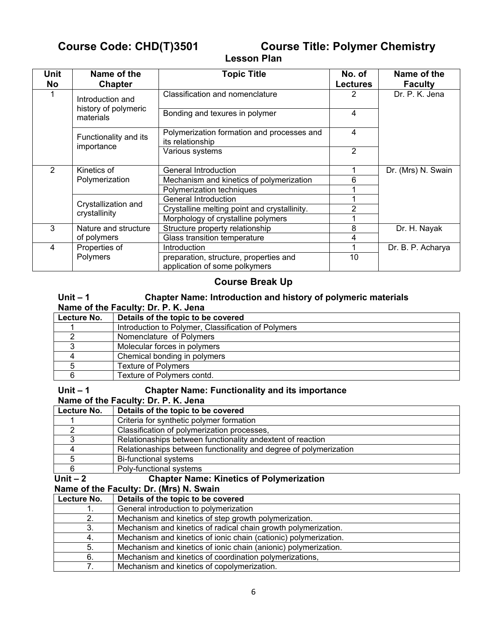# **Course Code: CHD(T)3501 Course Title: Polymer Chemistry**

# **Lesson Plan**

| <b>Unit</b><br>No | Name of the<br><b>Chapter</b>                         | <b>Topic Title</b>                                                      | No. of<br><b>Lectures</b> | Name of the<br><b>Faculty</b> |
|-------------------|-------------------------------------------------------|-------------------------------------------------------------------------|---------------------------|-------------------------------|
|                   | Introduction and<br>history of polymeric<br>materials | Classification and nomenclature                                         |                           | Dr. P. K. Jena                |
|                   |                                                       | Bonding and texures in polymer                                          | 4                         |                               |
|                   | Functionality and its<br>importance                   | Polymerization formation and processes and<br>its relationship          | 4                         |                               |
|                   |                                                       | Various systems                                                         | $\overline{2}$            |                               |
| $\overline{2}$    | Kinetics of<br>Polymerization                         | General Introduction                                                    |                           | Dr. (Mrs) N. Swain            |
|                   |                                                       | Mechanism and kinetics of polymerization                                | 6                         |                               |
|                   |                                                       | Polymerization techniques                                               |                           |                               |
|                   | Crystallization and<br>crystallinity                  | General Introduction                                                    |                           |                               |
|                   |                                                       | Crystalline melting point and crystallinity.                            | 2                         |                               |
|                   |                                                       | Morphology of crystalline polymers                                      |                           |                               |
| 3                 | Nature and structure                                  | Structure property relationship                                         | 8                         | Dr. H. Nayak                  |
|                   | of polymers                                           | Glass transition temperature                                            | 4                         |                               |
| 4                 | Properties of<br>Polymers                             | Introduction                                                            | 1                         | Dr. B. P. Acharya             |
|                   |                                                       | preparation, structure, properties and<br>application of some polkymers | 10                        |                               |

## **Course Break Up**

# **Unit – 1 Chapter Name: Introduction and history of polymeric materials Name of the Faculty: Dr. P. K. Jena**

| Lecture No. | Details of the topic to be covered                  |
|-------------|-----------------------------------------------------|
|             | Introduction to Polymer, Classification of Polymers |
|             | Nomenclature of Polymers                            |
|             | Molecular forces in polymers                        |
|             | Chemical bonding in polymers                        |
|             | <b>Texture of Polymers</b>                          |
|             | Texture of Polymers contd.                          |

### **Unit – 1 Chapter Name: Functionality and its importance**

**Name of the Faculty: Dr. P. K. Jena** 

| Lecture No. | Details of the topic to be covered                                |
|-------------|-------------------------------------------------------------------|
|             | Criteria for synthetic polymer formation                          |
|             | Classification of polymerization processes,                       |
| 3           | Relationaships between functionality andextent of reaction        |
| 4           | Relationaships between functionality and degree of polymerization |
| 5           | <b>Bi-functional systems</b>                                      |
| 6           | Poly-functional systems                                           |
| Unit $-2$   | <b>Chapter Name: Kinetics of Polymerization</b>                   |
|             | Name of the Faculty: Dr. (Mrs) N. Swain                           |
| Lecture No. | Details of the topic to be covered                                |
|             | General introduction to polymerization                            |
| 2.          | Mechanism and kinetics of step growth polymerization.             |
| 3.          | Mechanism and kinetics of radical chain growth polymerization.    |
| 4.          | Mechanism and kinetics of ionic chain (cationic) polymerization.  |
| 5.          | Mechanism and kinetics of ionic chain (anionic) polymerization.   |
| 6.          | Mechanism and kinetics of coordination polymerizations,           |
| 7.          | Mechanism and kinetics of copolymerization.                       |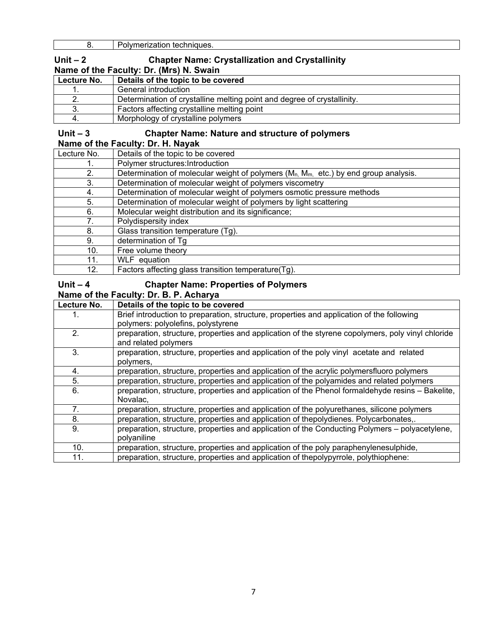8. Polymerization techniques.

#### **Unit – 2 Chapter Name: Crystallization and Crystallinity Name of the Faculty: Dr. (Mrs) N. Swain**

| Lecture No. | Details of the topic to be covered                                      |
|-------------|-------------------------------------------------------------------------|
|             | General introduction                                                    |
|             | Determination of crystalline melting point and degree of crystallinity. |
|             | Factors affecting crystalline melting point                             |
|             | Morphology of crystalline polymers                                      |

#### **Unit – 3 Chapter Name: Nature and structure of polymers**

#### **Name of the Faculty: Dr. H. Nayak**

| Lecture No. | Details of the topic to be covered                                                       |
|-------------|------------------------------------------------------------------------------------------|
|             | Polymer structures: Introduction                                                         |
| 2.          | Determination of molecular weight of polymers $(M_{n, M_{m, c}})$ by end group analysis. |
| 3.          | Determination of molecular weight of polymers viscometry                                 |
| 4.          | Determination of molecular weight of polymers osmotic pressure methods                   |
| 5.          | Determination of molecular weight of polymers by light scattering                        |
| 6.          | Molecular weight distribution and its significance;                                      |
| 7.          | Polydispersity index                                                                     |
| 8.          | Glass transition temperature (Tg).                                                       |
| 9.          | determination of Tg                                                                      |
| 10.         | Free volume theory                                                                       |
| 11.         | WLF equation                                                                             |
| 12.         | Factors affecting glass transition temperature(Tg).                                      |

### **Unit – 4 Chapter Name: Properties of Polymers**

#### **Name of the Faculty: Dr. B. P. Acharya**

| Lecture No. | Details of the topic to be covered                                                                                        |
|-------------|---------------------------------------------------------------------------------------------------------------------------|
|             | Brief introduction to preparation, structure, properties and application of the following                                 |
|             | polymers: polyolefins, polystyrene                                                                                        |
| 2.          | preparation, structure, properties and application of the styrene copolymers, poly vinyl chloride<br>and related polymers |
| 3.          | preparation, structure, properties and application of the poly vinyl acetate and related<br>polymers,                     |
| 4.          | preparation, structure, properties and application of the acrylic polymersfluoro polymers                                 |
| 5.          | preparation, structure, properties and application of the polyamides and related polymers                                 |
| 6.          | preparation, structure, properties and application of the Phenol formaldehyde resins - Bakelite,<br>Novalac.              |
| 7.          | preparation, structure, properties and application of the polyurethanes, silicone polymers                                |
| 8.          | preparation, structure, properties and application of thepolydienes. Polycarbonates,.                                     |
| 9.          | preparation, structure, properties and application of the Conducting Polymers – polyacetylene,<br>polyaniline             |
| 10.         | preparation, structure, properties and application of the poly paraphenylenesulphide,                                     |
| 11.         | preparation, structure, properties and application of thepolypyrrole, polythiophene:                                      |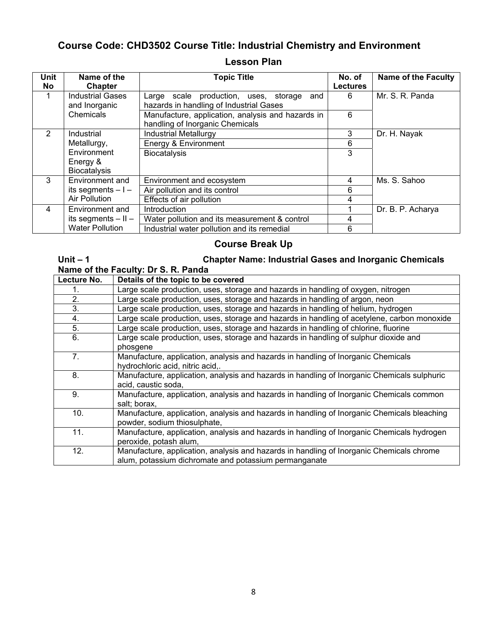# **Course Code: CHD3502 Course Title: Industrial Chemistry and Environment**

| <b>Lesson Plan</b> |  |
|--------------------|--|
|--------------------|--|

| <b>Unit</b> | Name of the                              | <b>Topic Title</b>                                                                      | No. of          | <b>Name of the Faculty</b> |
|-------------|------------------------------------------|-----------------------------------------------------------------------------------------|-----------------|----------------------------|
| No          | Chapter                                  |                                                                                         | <b>Lectures</b> |                            |
|             | <b>Industrial Gases</b><br>and Inorganic | Large scale production, uses, storage<br>and<br>hazards in handling of Industrial Gases | 6               | Mr. S. R. Panda            |
|             | Chemicals                                | Manufacture, application, analysis and hazards in<br>handling of Inorganic Chemicals    | 6               |                            |
| 2           | Industrial                               | <b>Industrial Metallurgy</b>                                                            | 3               | Dr. H. Nayak               |
|             | Metallurgy,                              | Energy & Environment                                                                    | 6               |                            |
|             | Environment                              | Biocatalysis                                                                            | 3               |                            |
|             | Energy &<br><b>Biocatalysis</b>          |                                                                                         |                 |                            |
| 3           | Environment and                          | Environment and ecosystem                                                               | 4               | Ms. S. Sahoo               |
|             | its segments $-1-$                       | Air pollution and its control                                                           | 6               |                            |
|             | <b>Air Pollution</b>                     | Effects of air pollution                                                                | 4               |                            |
| 4           | Environment and                          | Introduction                                                                            |                 | Dr. B. P. Acharya          |
|             | its segments $-$ II $-$                  | Water pollution and its measurement & control                                           | 4               |                            |
|             | <b>Water Pollution</b>                   | Industrial water pollution and its remedial                                             | 6               |                            |

# **Course Break Up**

#### **Unit – 1 Chapter Name: Industrial Gases and Inorganic Chemicals Name of the Faculty: Dr S. R. Panda**

| Lecture No.     | Details of the topic to be covered                                                                                                                |
|-----------------|---------------------------------------------------------------------------------------------------------------------------------------------------|
| 1.              | Large scale production, uses, storage and hazards in handling of oxygen, nitrogen                                                                 |
| 2.              | Large scale production, uses, storage and hazards in handling of argon, neon                                                                      |
| 3.              | Large scale production, uses, storage and hazards in handling of helium, hydrogen                                                                 |
| 4.              | Large scale production, uses, storage and hazards in handling of acetylene, carbon monoxide                                                       |
| 5.              | Large scale production, uses, storage and hazards in handling of chlorine, fluorine                                                               |
| 6.              | Large scale production, uses, storage and hazards in handling of sulphur dioxide and<br>phosgene                                                  |
| 7.              | Manufacture, application, analysis and hazards in handling of Inorganic Chemicals<br>hydrochloric acid, nitric acid,.                             |
| 8.              | Manufacture, application, analysis and hazards in handling of Inorganic Chemicals sulphuric<br>acid, caustic soda,                                |
| 9.              | Manufacture, application, analysis and hazards in handling of Inorganic Chemicals common<br>salt; borax,                                          |
| 10 <sub>1</sub> | Manufacture, application, analysis and hazards in handling of Inorganic Chemicals bleaching<br>powder, sodium thiosulphate,                       |
| 11.             | Manufacture, application, analysis and hazards in handling of Inorganic Chemicals hydrogen<br>peroxide, potash alum,                              |
| 12.             | Manufacture, application, analysis and hazards in handling of Inorganic Chemicals chrome<br>alum, potassium dichromate and potassium permanganate |